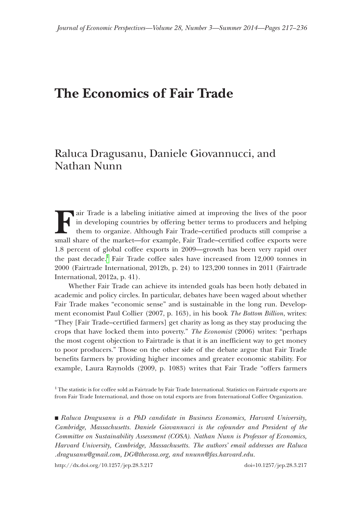# **The Economics of Fair Trade**

## Raluca Dragusanu, Daniele Giovannucci, and Nathan Nunn

**Fair Trade is a labeling initiative aimed at improving the lives of the poor** in developing countries by offering better terms to producers and helping them to organize. Although Fair Trade–certified products still comprise a small share of the market—for example, Fair Trade–certified coffee exports were 1.8 percent of global coffee exports in 2009—growth has been very rapid over the past decade.<sup>1</sup> Fair Trade coffee sales have increased from 12,000 tonnes in 2000 (Fairtrade International, 2012b, p. 24) to 123,200 tonnes in 2011 (Fairtrade International, 2012a, p. 41).

Whether Fair Trade can achieve its intended goals has been hotly debated in academic and policy circles. In particular, debates have been waged about whether Fair Trade makes "economic sense" and is sustainable in the long run. Development economist Paul Collier (2007, p. 163), in his book *The Bottom Billion*, writes: "They [Fair Trade–certified farmers] get charity as long as they stay producing the crops that have locked them into poverty." *The Economist* (2006) writes: "perhaps the most cogent objection to Fairtrade is that it is an inefficient way to get money to poor producers." Those on the other side of the debate argue that Fair Trade benefits farmers by providing higher incomes and greater economic stability. For example, Laura Raynolds (2009, p. 1083) writes that Fair Trade "offers farmers

<span id="page-0-0"></span><sup>1</sup> The statistic is for coffee sold as Fairtrade by Fair Trade International. Statistics on Fairtrade exports are from Fair Trade International, and those on total exports are from International Coffee Organization.

■ *Raluca Dragusanu is a PhD candidate in Business Economics, Harvard University, Cambridge, Massachusetts. Daniele Giovannucci is the cofounder and President of the Committee on Sustainability Assessment (COSA). Nathan Nunn is Professor of Economics, Harvard University, Cambridge, Massachusetts. The authors' email addresses are Raluca .dragusanu@gmail.com, DG@thecosa.org, and nnunn@fas.harvard.edu.*

http://dx.doi.org/10.1257/jep.28.3.217 doi=10.1257/jep.28.3.217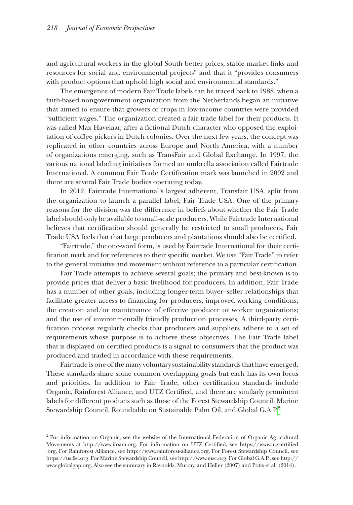and agricultural workers in the global South better prices, stable market links and resources for social and environmental projects" and that it "provides consumers with product options that uphold high social and environmental standards."

The emergence of modern Fair Trade labels can be traced back to 1988, when a faith-based nongovernment organization from the Netherlands began an initiative that aimed to ensure that growers of crops in low-income countries were provided "sufficient wages." The organization created a fair trade label for their products. It was called Max Havelaar, after a fictional Dutch character who opposed the exploitation of coffee pickers in Dutch colonies. Over the next few years, the concept was replicated in other countries across Europe and North America, with a number of organizations emerging, such as TransFair and Global Exchange. In 1997, the various national labeling initiatives formed an umbrella association called Fairtrade International. A common Fair Trade Certification mark was launched in 2002 and there are several Fair Trade bodies operating today.

In 2012, Fairtrade International's largest adherent, Transfair USA, split from the organization to launch a parallel label, Fair Trade USA. One of the primary reasons for the division was the difference in beliefs about whether the Fair Trade label should only be available to small-scale producers. While Fairtrade International believes that certification should generally be restricted to small producers, Fair Trade USA feels that that large producers and plantations should also be certified.

"Fairtrade," the one-word form, is used by Fairtrade International for their certification mark and for references to their specific market. We use "Fair Trade" to refer to the general initiative and movement without reference to a particular certification.

Fair Trade attempts to achieve several goals; the primary and best-known is to provide prices that deliver a basic livelihood for producers. In addition, Fair Trade has a number of other goals, including longer-term buyer–seller relationships that facilitate greater access to financing for producers; improved working conditions; the creation and/or maintenance of effective producer or worker organizations; and the use of environmentally friendly production processes. A third-party certification process regularly checks that producers and suppliers adhere to a set of requirements whose purpose is to achieve these objectives. The Fair Trade label that is displayed on certified products is a signal to consumers that the product was produced and traded in accordance with these requirements.

Fairtrade is one of the many voluntary sustainability standards that have emerged. These standards share some common overlapping goals but each has its own focus and priorities. In addition to Fair Trade, other certification standards include Organic, Rainforest Alliance, and UTZ Certified, and there are similarly prominent labels for different products such as those of the Forest Stewardship Council, Marine Stewardship Council, Roundtable on Sustainable Palm Oil, and Global G.A.P.<sup>[2](#page-1-0)</sup>

<span id="page-1-0"></span><sup>&</sup>lt;sup>2</sup> For information on Organic, see the website of the International Federation of Organic Agricultural Movements at http://www.ifoam.org. For information on UTZ Certified, see [https://www.utzcertified](https://www.utzcertified.org) [.org.](https://www.utzcertified.org) For Rainforest Alliance, see http://www.rainforest-alliance.org. For Forest Stewardship Council, see https://us.fsc.org. For Marine Stewardship Council, see http://www.msc.org. For Global G.A.P., see http:// www.globalgap.org. Also see the summary in Raynolds, Murray, and Heller (2007) and Potts et al. (2014).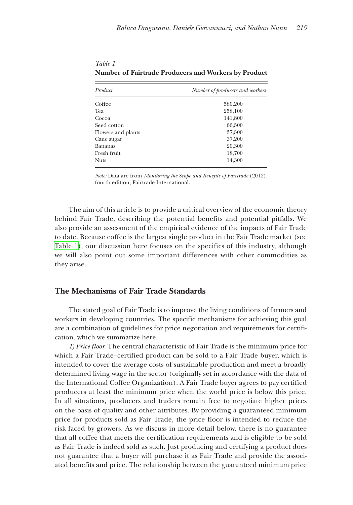| Product            | Number of producers and workers |
|--------------------|---------------------------------|
| Coffee             | 580,200                         |
| Tea                | 258,100                         |
| Cocoa              | 141,800                         |
| Seed cotton        | 66,500                          |
| Flowers and plants | 37,500                          |
| Cane sugar         | 37,200                          |
| Bananas            | 20,300                          |
| Fresh fruit        | 18,700                          |
| Nuts               | 14,300                          |

*Table 1* **Number of Fairtrade Producers and Workers by Product**

*Note:* Data are from *Monitoring the Scope and Benefits of Fairtrade* (2012), fourth edition*,* Fairtrade International.

The aim of this article is to provide a critical overview of the economic theory behind Fair Trade, describing the potential benefits and potential pitfalls. We also provide an assessment of the empirical evidence of the impacts of Fair Trade to date. Because coffee is the largest single product in the Fair Trade market (see Table 1), our discussion here focuses on the specifics of this industry, although we will also point out some important differences with other commodities as they arise.

## **The Mechanisms of Fair Trade Standards**

The stated goal of Fair Trade is to improve the living conditions of farmers and workers in developing countries. The specific mechanisms for achieving this goal are a combination of guidelines for price negotiation and requirements for certification, which we summarize here.

*1) Price floor.* The central characteristic of Fair Trade is the minimum price for which a Fair Trade–certified product can be sold to a Fair Trade buyer, which is intended to cover the average costs of sustainable production and meet a broadly determined living wage in the sector (originally set in accordance with the data of the International Coffee Organization). A Fair Trade buyer agrees to pay certified producers at least the minimum price when the world price is below this price. In all situations, producers and traders remain free to negotiate higher prices on the basis of quality and other attributes. By providing a guaranteed minimum price for products sold as Fair Trade, the price floor is intended to reduce the risk faced by growers. As we discuss in more detail below, there is no guarantee that all coffee that meets the certification requirements and is eligible to be sold as Fair Trade is indeed sold as such. Just producing and certifying a product does not guarantee that a buyer will purchase it as Fair Trade and provide the associated benefits and price. The relationship between the guaranteed minimum price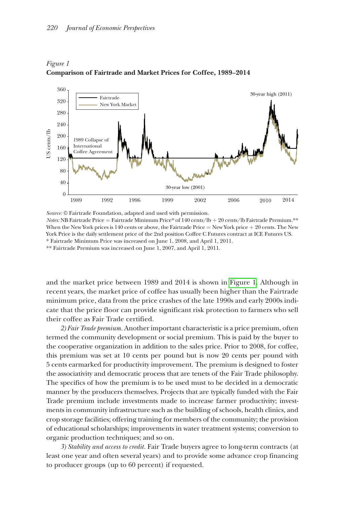

*Figure 1*  **Comparison of Fairtrade and Market Prices for Coffee, 1989–2014**

*Source:* © Fairtrade Foundation, adapted and used with permission. *Notes:* NB Fairtrade Price = Fairtrade Minimum Price\* of 140 cents/lb + 20 cents/lb Fairtrade Premium.\*\* When the New York prices is 140 cents or above, the Fairtrade Price  $=$  New York price  $+20$  cents. The New York Price is the daily settlement price of the 2nd position Coffee C Futures contract at ICE Futures US.

\* Fairtrade Minimum Price was increased on June 1, 2008, and April 1, 2011.

\*\* Fairtrade Premium was increased on June 1, 2007, and April 1, 2011.

and the market price between 1989 and 2014 is shown in Figure 1. Although in recent years, the market price of coffee has usually been higher than the Fairtrade minimum price, data from the price crashes of the late 1990s and early 2000s indicate that the price floor can provide significant risk protection to farmers who sell their coffee as Fair Trade certified.

*2) Fair Trade premium.* Another important characteristic is a price premium, often termed the community development or social premium. This is paid by the buyer to the cooperative organization in addition to the sales price. Prior to 2008, for coffee, this premium was set at 10 cents per pound but is now 20 cents per pound with 5 cents earmarked for productivity improvement. The premium is designed to foster the associativity and democratic process that are tenets of the Fair Trade philosophy. The specifics of how the premium is to be used must to be decided in a democratic manner by the producers themselves. Projects that are typically funded with the Fair Trade premium include investments made to increase farmer productivity; investments in community infrastructure such as the building of schools, health clinics, and crop storage facilities; offering training for members of the community; the provision of educational scholarships; improvements in water treatment systems; conversion to organic production techniques; and so on.

*3) Stability and access to credit.* Fair Trade buyers agree to long-term contracts (at least one year and often several years) and to provide some advance crop financing to producer groups (up to 60 percent) if requested.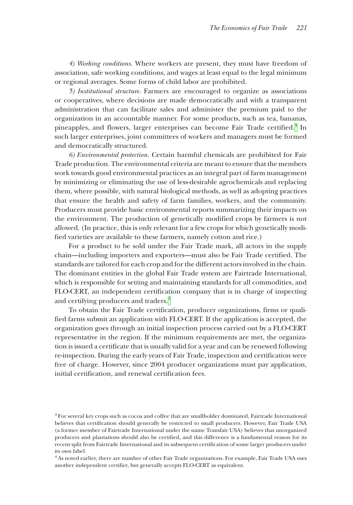*4) Working conditions.* Where workers are present, they must have freedom of association, safe working conditions, and wages at least equal to the legal minimum or regional averages. Some forms of child labor are prohibited.

*5) Institutional structure.* Farmers are encouraged to organize as associations or cooperatives, where decisions are made democratically and with a transparent administration that can facilitate sales and administer the premium paid to the organization in an accountable manner. For some products, such as tea, bananas, pineapples, and flowers, larger enterprises can become Fair Trade certified.<sup>[3](#page-4-0)</sup> In such larger enterprises, joint committees of workers and managers must be formed and democratically structured.

*6) Environmental protection.* Certain harmful chemicals are prohibited for Fair Trade production. The environmental criteria are meant to ensure that the members work towards good environmental practices as an integral part of farm management by minimizing or eliminating the use of less-desirable agrochemicals and replacing them, where possible, with natural biological methods, as well as adopting practices that ensure the health and safety of farm families, workers, and the community. Producers must provide basic environmental reports summarizing their impacts on the environment. The production of genetically modified crops by farmers is not allowed. (In practice, this is only relevant for a few crops for which genetically modified varieties are available to these farmers, namely cotton and rice.)

For a product to be sold under the Fair Trade mark, all actors in the supply chain—including importers and exporters—must also be Fair Trade certified. The standards are tailored for each crop and for the different actors involved in the chain. The dominant entities in the global Fair Trade system are Fairtrade International, which is responsible for setting and maintaining standards for all commodities, and FLO-CERT, an independent certification company that is in charge of inspecting and certifying producers and traders.[4](#page-4-1)

To obtain the Fair Trade certification, producer organizations, firms or qualified farms submit an application with FLO-CERT. If the application is accepted, the organization goes through an initial inspection process carried out by a FLO-CERT representative in the region. If the minimum requirements are met, the organization is issued a certificate that is usually valid for a year and can be renewed following re-inspection. During the early years of Fair Trade, inspection and certification were free of charge. However, since 2004 producer organizations must pay application, initial certification, and renewal certification fees.

<span id="page-4-0"></span> $3$  For several key crops such as cocoa and coffee that are smallholder dominated, Fairtrade International believes that certification should generally be restricted to small producers. However, Fair Trade USA (a former member of Fairtrade International under the name Transfair USA) believes that unorganized producers and plantations should also be certified, and this difference is a fundamental reason for its recent split from Fairtrade International and its subsequent certification of some larger producers under its own label.

<span id="page-4-1"></span><sup>4</sup> As noted earlier, there are number of other Fair Trade organizations. For example, Fair Trade USA uses another independent certifier, but generally accepts FLO-CERT as equivalent.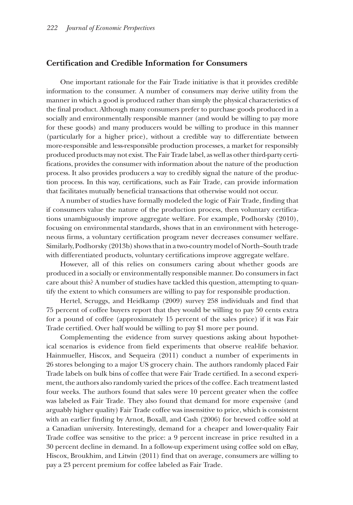### **Certification and Credible Information for Consumers**

One important rationale for the Fair Trade initiative is that it provides credible information to the consumer. A number of consumers may derive utility from the manner in which a good is produced rather than simply the physical characteristics of the final product. Although many consumers prefer to purchase goods produced in a socially and environmentally responsible manner (and would be willing to pay more for these goods) and many producers would be willing to produce in this manner (particularly for a higher price), without a credible way to differentiate between more-responsible and less-responsible production processes, a market for responsibly produced products may not exist. The Fair Trade label, as well as other third-party certifications, provides the consumer with information about the nature of the production process. It also provides producers a way to credibly signal the nature of the production process. In this way, certifications, such as Fair Trade, can provide information that facilitates mutually beneficial transactions that otherwise would not occur.

A number of studies have formally modeled the logic of Fair Trade, finding that if consumers value the nature of the production process, then voluntary certifications unambiguously improve aggregate welfare. For example, Podhorsky (2010), focusing on environmental standards, shows that in an environment with heterogeneous firms, a voluntary certification program never decreases consumer welfare. Similarly, Podhorsky (2013b) shows that in a two-country model of North–South trade with differentiated products, voluntary certifications improve aggregate welfare.

However, all of this relies on consumers caring about whether goods are produced in a socially or environmentally responsible manner. Do consumers in fact care about this? A number of studies have tackled this question, attempting to quantify the extent to which consumers are willing to pay for responsible production.

Hertel, Scruggs, and Heidkamp (2009) survey 258 individuals and find that 75 percent of coffee buyers report that they would be willing to pay 50 cents extra for a pound of coffee (approximately 15 percent of the sales price) if it was Fair Trade certified. Over half would be willing to pay \$1 more per pound.

Complementing the evidence from survey questions asking about hypothetical scenarios is evidence from field experiments that observe real-life behavior. Hainmueller, Hiscox, and Sequeira (2011) conduct a number of experiments in 26 stores belonging to a major US grocery chain. The authors randomly placed Fair Trade labels on bulk bins of coffee that were Fair Trade certified. In a second experiment, the authors also randomly varied the prices of the coffee. Each treatment lasted four weeks. The authors found that sales were 10 percent greater when the coffee was labeled as Fair Trade. They also found that demand for more expensive (and arguably higher quality) Fair Trade coffee was insensitive to price, which is consistent with an earlier finding by Arnot, Boxall, and Cash (2006) for brewed coffee sold at a Canadian university. Interestingly, demand for a cheaper and lower-quality Fair Trade coffee was sensitive to the price: a 9 percent increase in price resulted in a 30 percent decline in demand. In a follow-up experiment using coffee sold on eBay, Hiscox, Broukhim, and Litwin (2011) find that on average, consumers are willing to pay a 23 percent premium for coffee labeled as Fair Trade.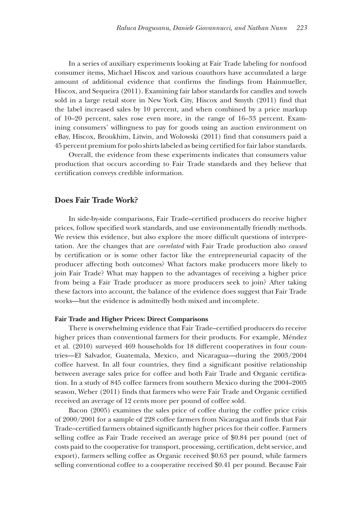In a series of auxiliary experiments looking at Fair Trade labeling for nonfood consumer items, Michael Hiscox and various coauthors have accumulated a large amount of additional evidence that confirms the findings from Hainmueller, Hiscox, and Sequeira (2011). Examining fair labor standards for candles and towels sold in a large retail store in New York City, Hiscox and Smyth (2011) find that the label increased sales by 10 percent, and when combined by a price markup of 10–20 percent, sales rose even more, in the range of 16–33 percent. Examining consumers' willingness to pay for goods using an auction environment on eBay, Hiscox, Broukhim, Litwin, and Wolowski (2011) find that consumers paid a 45 percent premium for polo shirts labeled as being certified for fair labor standards.

Overall, the evidence from these experiments indicates that consumers value production that occurs according to Fair Trade standards and they believe that certification conveys credible information.

## **Does Fair Trade Work?**

In side-by-side comparisons, Fair Trade–certified producers do receive higher prices, follow specified work standards, and use environmentally friendly methods. We review this evidence, but also explore the more difficult questions of interpretation. Are the changes that are *correlated* with Fair Trade production also *caused* by certification or is some other factor like the entrepreneurial capacity of the producer affecting both outcomes? What factors make producers more likely to join Fair Trade? What may happen to the advantages of receiving a higher price from being a Fair Trade producer as more producers seek to join? After taking these factors into account, the balance of the evidence does suggest that Fair Trade works—but the evidence is admittedly both mixed and incomplete.

#### **Fair Trade and Higher Prices: Direct Comparisons**

There is overwhelming evidence that Fair Trade–certified producers do receive higher prices than conventional farmers for their products. For example, Méndez et al. (2010) surveyed 469 households for 18 different cooperatives in four countries—El Salvador, Guatemala, Mexico, and Nicaragua—during the 2003/2004 coffee harvest. In all four countries, they find a significant positive relationship between average sales price for coffee and both Fair Trade and Organic certification. In a study of 845 coffee farmers from southern Mexico during the 2004–2005 season, Weber (2011) finds that farmers who were Fair Trade and Organic certified received an average of 12 cents more per pound of coffee sold.

Bacon (2005) examines the sales price of coffee during the coffee price crisis of 2000/2001 for a sample of 228 coffee farmers from Nicaragua and finds that Fair Trade–certified farmers obtained significantly higher prices for their coffee. Farmers selling coffee as Fair Trade received an average price of \$0.84 per pound (net of costs paid to the cooperative for transport, processing, certification, debt service, and export), farmers selling coffee as Organic received \$0.63 per pound, while farmers selling conventional coffee to a cooperative received \$0.41 per pound. Because Fair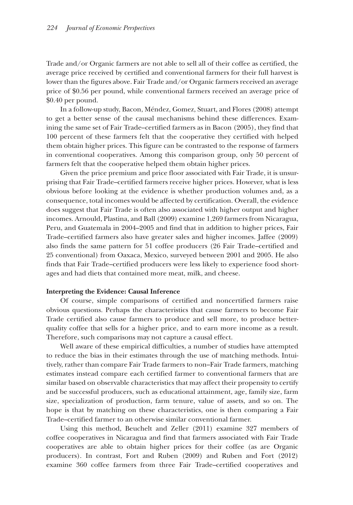Trade and/or Organic farmers are not able to sell all of their coffee as certified, the average price received by certified and conventional farmers for their full harvest is lower than the figures above. Fair Trade and/or Organic farmers received an average price of \$0.56 per pound, while conventional farmers received an average price of \$0.40 per pound.

In a follow-up study, Bacon, Méndez, Gomez, Stuart, and Flores (2008) attempt to get a better sense of the causal mechanisms behind these differences. Examining the same set of Fair Trade–certified farmers as in Bacon (2005), they find that 100 percent of these farmers felt that the cooperative they certified with helped them obtain higher prices. This figure can be contrasted to the response of farmers in conventional cooperatives. Among this comparison group, only 50 percent of farmers felt that the cooperative helped them obtain higher prices.

Given the price premium and price floor associated with Fair Trade, it is unsurprising that Fair Trade–certified farmers receive higher prices. However, what is less obvious before looking at the evidence is whether production volumes and, as a consequence, total incomes would be affected by certification. Overall, the evidence does suggest that Fair Trade is often also associated with higher output and higher incomes. Arnould, Plastina, and Ball (2009) examine 1,269 farmers from Nicaragua, Peru, and Guatemala in 2004–2005 and find that in addition to higher prices, Fair Trade–certified farmers also have greater sales and higher incomes. Jaffee (2009) also finds the same pattern for 51 coffee producers (26 Fair Trade–certified and 25 conventional) from Oaxaca, Mexico, surveyed between 2001 and 2005. He also finds that Fair Trade–certified producers were less likely to experience food shortages and had diets that contained more meat, milk, and cheese.

#### **Interpreting the Evidence: Causal Inference**

Of course, simple comparisons of certified and noncertified farmers raise obvious questions. Perhaps the characteristics that cause farmers to become Fair Trade certified also cause farmers to produce and sell more, to produce betterquality coffee that sells for a higher price, and to earn more income as a result. Therefore, such comparisons may not capture a causal effect.

Well aware of these empirical difficulties, a number of studies have attempted to reduce the bias in their estimates through the use of matching methods. Intuitively, rather than compare Fair Trade farmers to non–Fair Trade farmers, matching estimates instead compare each certified farmer to conventional farmers that are similar based on observable characteristics that may affect their propensity to certify and be successful producers, such as educational attainment, age, family size, farm size, specialization of production, farm tenure, value of assets, and so on. The hope is that by matching on these characteristics, one is then comparing a Fair Trade–certified farmer to an otherwise similar conventional farmer.

Using this method, Beuchelt and Zeller (2011) examine 327 members of coffee cooperatives in Nicaragua and find that farmers associated with Fair Trade cooperatives are able to obtain higher prices for their coffee (as are Organic producers). In contrast, Fort and Ruben (2009) and Ruben and Fort (2012) examine 360 coffee farmers from three Fair Trade–certified cooperatives and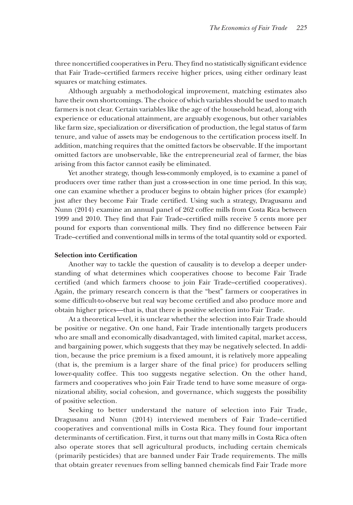three noncertified cooperatives in Peru. They find no statistically significant evidence that Fair Trade–certified farmers receive higher prices, using either ordinary least squares or matching estimates.

Although arguably a methodological improvement, matching estimates also have their own shortcomings. The choice of which variables should be used to match farmers is not clear. Certain variables like the age of the household head, along with experience or educational attainment, are arguably exogenous, but other variables like farm size, specialization or diversification of production, the legal status of farm tenure, and value of assets may be endogenous to the certification process itself. In addition, matching requires that the omitted factors be observable. If the important omitted factors are unobservable, like the entrepreneurial zeal of farmer, the bias arising from this factor cannot easily be eliminated.

Yet another strategy, though less-commonly employed, is to examine a panel of producers over time rather than just a cross-section in one time period. In this way, one can examine whether a producer begins to obtain higher prices (for example) just after they become Fair Trade certified. Using such a strategy, Dragusanu and Nunn (2014) examine an annual panel of 262 coffee mills from Costa Rica between 1999 and 2010. They find that Fair Trade–certified mills receive 5 cents more per pound for exports than conventional mills. They find no difference between Fair Trade–certified and conventional mills in terms of the total quantity sold or exported.

## **Selection into Certification**

Another way to tackle the question of causality is to develop a deeper understanding of what determines which cooperatives choose to become Fair Trade certified (and which farmers choose to join Fair Trade–certified cooperatives). Again, the primary research concern is that the "best" farmers or cooperatives in some difficult-to-observe but real way become certified and also produce more and obtain higher prices—that is, that there is positive selection into Fair Trade.

At a theoretical level, it is unclear whether the selection into Fair Trade should be positive or negative. On one hand, Fair Trade intentionally targets producers who are small and economically disadvantaged, with limited capital, market access, and bargaining power, which suggests that they may be negatively selected. In addition, because the price premium is a fixed amount, it is relatively more appealing (that is, the premium is a larger share of the final price) for producers selling lower-quality coffee. This too suggests negative selection. On the other hand, farmers and cooperatives who join Fair Trade tend to have some measure of organizational ability, social cohesion, and governance, which suggests the possibility of positive selection.

Seeking to better understand the nature of selection into Fair Trade, Dragusanu and Nunn (2014) interviewed members of Fair Trade–certified cooperatives and conventional mills in Costa Rica. They found four important determinants of certification. First, it turns out that many mills in Costa Rica often also operate stores that sell agricultural products, including certain chemicals (primarily pesticides) that are banned under Fair Trade requirements. The mills that obtain greater revenues from selling banned chemicals find Fair Trade more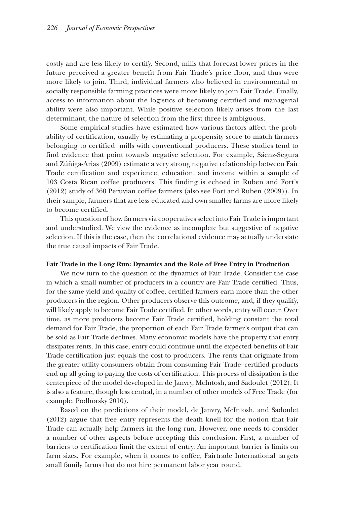costly and are less likely to certify. Second, mills that forecast lower prices in the future perceived a greater benefit from Fair Trade's price floor, and thus were more likely to join. Third, individual farmers who believed in environmental or socially responsible farming practices were more likely to join Fair Trade. Finally, access to information about the logistics of becoming certified and managerial ability were also important. While positive selection likely arises from the last determinant, the nature of selection from the first three is ambiguous.

Some empirical studies have estimated how various factors affect the probability of certification, usually by estimating a propensity score to match farmers belonging to certified mills with conventional producers. These studies tend to find evidence that point towards negative selection. For example, Sáenz-Segura and Zúñiga-Arias (2009) estimate a very strong negative relationship between Fair Trade certification and experience, education, and income within a sample of 103 Costa Rican coffee producers. This finding is echoed in Ruben and Fort's (2012) study of 360 Peruvian coffee farmers (also see Fort and Ruben (2009)). In their sample, farmers that are less educated and own smaller farms are more likely to become certified.

This question of how farmers via cooperatives select into Fair Trade is important and understudied. We view the evidence as incomplete but suggestive of negative selection. If this is the case, then the correlational evidence may actually understate the true causal impacts of Fair Trade.

#### **Fair Trade in the Long Run: Dynamics and the Role of Free Entry in Production**

We now turn to the question of the dynamics of Fair Trade. Consider the case in which a small number of producers in a country are Fair Trade certified. Thus, for the same yield and quality of coffee, certified farmers earn more than the other producers in the region. Other producers observe this outcome, and, if they qualify, will likely apply to become Fair Trade certified. In other words, entry will occur. Over time, as more producers become Fair Trade certified, holding constant the total demand for Fair Trade, the proportion of each Fair Trade farmer's output that can be sold as Fair Trade declines. Many economic models have the property that entry dissipates rents. In this case, entry could continue until the expected benefits of Fair Trade certification just equals the cost to producers. The rents that originate from the greater utility consumers obtain from consuming Fair Trade–certified products end up all going to paying the costs of certification. This process of dissipation is the centerpiece of the model developed in de Janvry, McIntosh, and Sadoulet (2012). It is also a feature, though less central, in a number of other models of Free Trade (for example, Podhorsky 2010).

Based on the predictions of their model, de Janvry, McIntosh, and Sadoulet (2012) argue that free entry represents the death knell for the notion that Fair Trade can actually help farmers in the long run. However, one needs to consider a number of other aspects before accepting this conclusion. First, a number of barriers to certification limit the extent of entry. An important barrier is limits on farm sizes. For example, when it comes to coffee, Fairtrade International targets small family farms that do not hire permanent labor year round.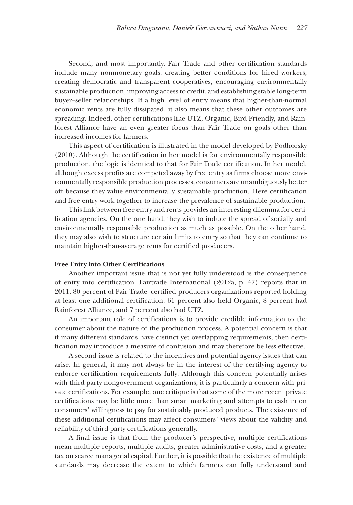Second, and most importantly, Fair Trade and other certification standards include many nonmonetary goals: creating better conditions for hired workers, creating democratic and transparent cooperatives, encouraging environmentally sustainable production, improving access to credit, and establishing stable long-term buyer–seller relationships. If a high level of entry means that higher-than-normal economic rents are fully dissipated, it also means that these other outcomes are spreading. Indeed, other certifications like UTZ, Organic, Bird Friendly, and Rainforest Alliance have an even greater focus than Fair Trade on goals other than increased incomes for farmers.

This aspect of certification is illustrated in the model developed by Podhorsky (2010). Although the certification in her model is for environmentally responsible production, the logic is identical to that for Fair Trade certification. In her model, although excess profits are competed away by free entry as firms choose more environmentally responsible production processes, consumers are unambiguously better off because they value environmentally sustainable production. Here certification and free entry work together to increase the prevalence of sustainable production.

This link between free entry and rents provides an interesting dilemma for certification agencies. On the one hand, they wish to induce the spread of socially and environmentally responsible production as much as possible. On the other hand, they may also wish to structure certain limits to entry so that they can continue to maintain higher-than-average rents for certified producers.

#### **Free Entry into Other Certifications**

Another important issue that is not yet fully understood is the consequence of entry into certification. Fairtrade International (2012a, p. 47) reports that in 2011, 80 percent of Fair Trade–certified producers organizations reported holding at least one additional certification: 61 percent also held Organic, 8 percent had Rainforest Alliance, and 7 percent also had UTZ.

An important role of certifications is to provide credible information to the consumer about the nature of the production process. A potential concern is that if many different standards have distinct yet overlapping requirements, then certification may introduce a measure of confusion and may therefore be less effective.

A second issue is related to the incentives and potential agency issues that can arise. In general, it may not always be in the interest of the certifying agency to enforce certification requirements fully. Although this concern potentially arises with third-party nongovernment organizations, it is particularly a concern with private certifications. For example, one critique is that some of the more recent private certifications may be little more than smart marketing and attempts to cash in on consumers' willingness to pay for sustainably produced products. The existence of these additional certifications may affect consumers' views about the validity and reliability of third-party certifications generally.

A final issue is that from the producer's perspective, multiple certifications mean multiple reports, multiple audits, greater administrative costs, and a greater tax on scarce managerial capital. Further, it is possible that the existence of multiple standards may decrease the extent to which farmers can fully understand and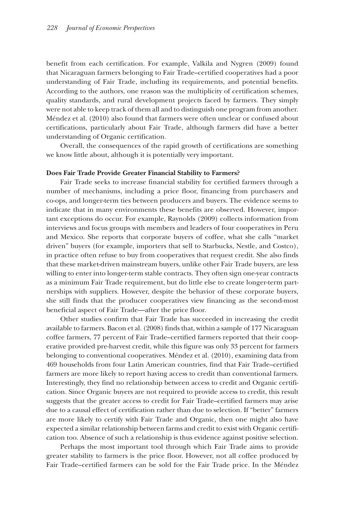benefit from each certification. For example, Valkila and Nygren (2009) found that Nicaraguan farmers belonging to Fair Trade–certified cooperatives had a poor understanding of Fair Trade, including its requirements, and potential benefits. According to the authors, one reason was the multiplicity of certification schemes, quality standards, and rural development projects faced by farmers. They simply were not able to keep track of them all and to distinguish one program from another. Méndez et al. (2010) also found that farmers were often unclear or confused about certifications, particularly about Fair Trade, although farmers did have a better understanding of Organic certification.

Overall, the consequences of the rapid growth of certifications are something we know little about, although it is potentially very important.

#### **Does Fair Trade Provide Greater Financial Stability to Farmers?**

Fair Trade seeks to increase financial stability for certified farmers through a number of mechanisms, including a price floor, financing from purchasers and co-ops, and longer-term ties between producers and buyers. The evidence seems to indicate that in many environments these benefits are observed. However, important exceptions do occur. For example, Raynolds (2009) collects information from interviews and focus groups with members and leaders of four cooperatives in Peru and Mexico. She reports that corporate buyers of coffee, what she calls "market driven" buyers (for example, importers that sell to Starbucks, Nestle, and Costco), in practice often refuse to buy from cooperatives that request credit. She also finds that these market-driven mainstream buyers, unlike other Fair Trade buyers, are less willing to enter into longer-term stable contracts. They often sign one-year contracts as a minimum Fair Trade requirement, but do little else to create longer-term partnerships with suppliers. However, despite the behavior of these corporate buyers, she still finds that the producer cooperatives view financing as the second-most beneficial aspect of Fair Trade—after the price floor.

Other studies confirm that Fair Trade has succeeded in increasing the credit available to farmers. Bacon et al. (2008) finds that, within a sample of 177 Nicaraguan coffee farmers, 77 percent of Fair Trade–certified farmers reported that their cooperative provided pre-harvest credit, while this figure was only 33 percent for farmers belonging to conventional cooperatives. Méndez et al. (2010), examining data from 469 households from four Latin American countries, find that Fair Trade–certified farmers are more likely to report having access to credit than conventional farmers. Interestingly, they find no relationship between access to credit and Organic certification. Since Organic buyers are not required to provide access to credit, this result suggests that the greater access to credit for Fair Trade–certified farmers may arise due to a causal effect of certification rather than due to selection. If "better" farmers are more likely to certify with Fair Trade and Organic, then one might also have expected a similar relationship between farms and credit to exist with Organic certification too. Absence of such a relationship is thus evidence against positive selection.

Perhaps the most important tool through which Fair Trade aims to provide greater stability to farmers is the price floor. However, not all coffee produced by Fair Trade–certified farmers can be sold for the Fair Trade price. In the Méndez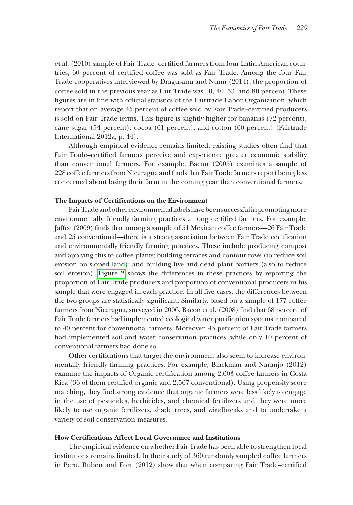et al. (2010) sample of Fair Trade–certified farmers from four Latin American countries, 60 percent of certified coffee was sold as Fair Trade. Among the four Fair Trade cooperatives interviewed by Dragusanu and Nunn (2014), the proportion of coffee sold in the previous year as Fair Trade was 10, 40, 53, and 80 percent. These figures are in line with official statistics of the Fairtrade Labor Organization, which report that on average 45 percent of coffee sold by Fair Trade–certified producers is sold on Fair Trade terms. This figure is slightly higher for bananas (72 percent), cane sugar (54 percent), cocoa (61 percent), and cotton (60 percent) (Fairtrade International 2012a, p. 44).

Although empirical evidence remains limited, existing studies often find that Fair Trade–certified farmers perceive and experience greater economic stability than conventional farmers. For example, Bacon (2005) examines a sample of 228 coffee farmers from Nicaragua and finds that Fair Trade farmers report being less concerned about losing their farm in the coming year than conventional farmers.

#### **The Impacts of Certifications on the Environment**

Fair Trade and other environmental labels have been successful in promoting more environmentally friendly farming practices among certified farmers. For example, Jaffee (2009) finds that among a sample of 51 Mexican coffee farmers—26 Fair Trade and 25 conventional—there is a strong association between Fair Trade certification and environmentally friendly farming practices. These include producing compost and applying this to coffee plants; building terraces and contour rows (to reduce soil erosion on sloped land): and building live and dead plant barriers (also to reduce soil erosion). [Figure 2](#page-13-0) shows the differences in these practices by reporting the proportion of Fair Trade producers and proportion of conventional producers in his sample that were engaged in each practice. In all five cases, the differences between the two groups are statistically significant. Similarly, based on a sample of 177 coffee farmers from Nicaragua, surveyed in 2006, Bacon et al. (2008) find that 68 percent of Fair Trade farmers had implemented ecological water purification systems, compared to 40 percent for conventional farmers. Moreover, 43 percent of Fair Trade farmers had implemented soil and water conservation practices, while only 10 percent of conventional farmers had done so.

Other certifications that target the environment also seem to increase environmentally friendly farming practices. For example, Blackman and Naranjo (2012) examine the impacts of Organic certification among 2,603 coffee farmers in Costa Rica (36 of them certified organic and 2,567 conventional). Using propensity score matching, they find strong evidence that organic farmers were less likely to engage in the use of pesticides, herbicides, and chemical fertilizers and they were more likely to use organic fertilizers, shade trees, and windbreaks and to undertake a variety of soil conservation measures.

#### **How Certifications Affect Local Governance and Institutions**

The empirical evidence on whether Fair Trade has been able to strengthen local institutions remains limited. In their study of 360 randomly sampled coffee farmers in Peru, Ruben and Fort (2012) show that when comparing Fair Trade–certified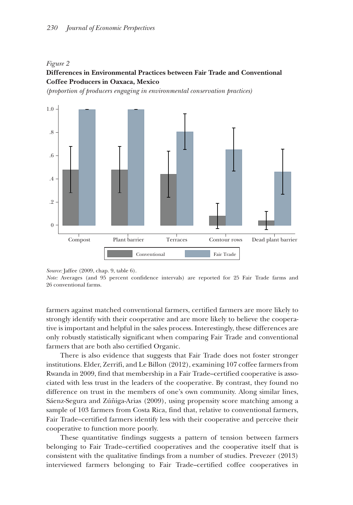#### <span id="page-13-0"></span>*Figure 2*

## **Differences in Environmental Practices between Fair Trade and Conventional Coffee Producers in Oaxaca, Mexico**

*(proportion of producers engaging in environmental conservation practices)*



*Source:* Jaffee (2009, chap. 9, table 6).

*Note:* Averages (and 95 percent confidence intervals) are reported for 25 Fair Trade farms and 26 conventional farms.

farmers against matched conventional farmers, certified farmers are more likely to strongly identify with their cooperative and are more likely to believe the cooperative is important and helpful in the sales process. Interestingly, these differences are only robustly statistically significant when comparing Fair Trade and conventional farmers that are both also certified Organic.

There is also evidence that suggests that Fair Trade does not foster stronger institutions. Elder, Zerrifi, and Le Billon (2012), examining 107 coffee farmers from Rwanda in 2009, find that membership in a Fair Trade–certified cooperative is associated with less trust in the leaders of the cooperative. By contrast, they found no difference on trust in the members of one's own community. Along similar lines, Sáenz-Segura and Zúñiga-Arias (2009), using propensity score matching among a sample of 103 farmers from Costa Rica, find that, relative to conventional farmers, Fair Trade–certified farmers identify less with their cooperative and perceive their cooperative to function more poorly.

These quantitative findings suggests a pattern of tension between farmers belonging to Fair Trade–certified cooperatives and the cooperative itself that is consistent with the qualitative findings from a number of studies. Prevezer (2013) interviewed farmers belonging to Fair Trade–certified coffee cooperatives in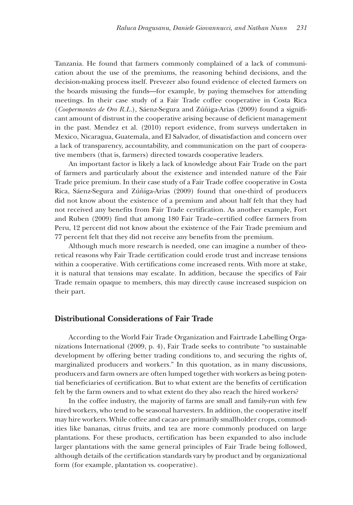Tanzania. He found that farmers commonly complained of a lack of communication about the use of the premiums, the reasoning behind decisions, and the decision-making process itself. Prevezer also found evidence of elected farmers on the boards misusing the funds—for example, by paying themselves for attending meetings. In their case study of a Fair Trade coffee cooperative in Costa Rica (*Coopermontes de Oro R.L.*), Sáenz-Segura and Zúñiga-Arias (2009) found a significant amount of distrust in the cooperative arising because of deficient management in the past. Mendez et al. (2010) report evidence, from surveys undertaken in Mexico, Nicaragua, Guatemala, and El Salvador, of dissatisfaction and concern over a lack of transparency, accountability, and communication on the part of cooperative members (that is, farmers) directed towards cooperative leaders.

An important factor is likely a lack of knowledge about Fair Trade on the part of farmers and particularly about the existence and intended nature of the Fair Trade price premium. In their case study of a Fair Trade coffee cooperative in Costa Rica, Sáenz-Segura and Zúñiga-Arias (2009) found that one-third of producers did not know about the existence of a premium and about half felt that they had not received any benefits from Fair Trade certification. As another example, Fort and Ruben (2009) find that among 180 Fair Trade–certified coffee farmers from Peru, 12 percent did not know about the existence of the Fair Trade premium and 77 percent felt that they did not receive any benefits from the premium.

Although much more research is needed, one can imagine a number of theoretical reasons why Fair Trade certification could erode trust and increase tensions within a cooperative. With certifications come increased rents. With more at stake, it is natural that tensions may escalate. In addition, because the specifics of Fair Trade remain opaque to members, this may directly cause increased suspicion on their part.

## **Distributional Considerations of Fair Trade**

According to the World Fair Trade Organization and Fairtrade Labelling Organizations International (2009, p. 4), Fair Trade seeks to contribute "to sustainable development by offering better trading conditions to, and securing the rights of, marginalized producers and workers." In this quotation, as in many discussions, producers and farm owners are often lumped together with workers as being potential beneficiaries of certification. But to what extent are the benefits of certification felt by the farm owners and to what extent do they also reach the hired workers?

In the coffee industry, the majority of farms are small and family-run with few hired workers, who tend to be seasonal harvesters. In addition, the cooperative itself may hire workers. While coffee and cacao are primarily smallholder crops, commodities like bananas, citrus fruits, and tea are more commonly produced on large plantations. For these products, certification has been expanded to also include larger plantations with the same general principles of Fair Trade being followed, although details of the certification standards vary by product and by organizational form (for example, plantation vs. cooperative).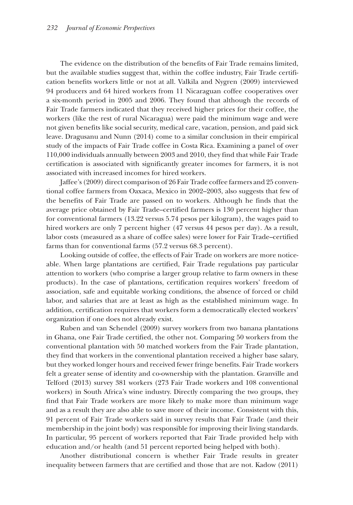The evidence on the distribution of the benefits of Fair Trade remains limited, but the available studies suggest that, within the coffee industry, Fair Trade certification benefits workers little or not at all. Valkila and Nygren (2009) interviewed 94 producers and 64 hired workers from 11 Nicaraguan coffee cooperatives over a six-month period in 2005 and 2006. They found that although the records of Fair Trade farmers indicated that they received higher prices for their coffee, the workers (like the rest of rural Nicaragua) were paid the minimum wage and were not given benefits like social security, medical care, vacation, pension, and paid sick leave. Dragusanu and Nunn (2014) come to a similar conclusion in their empirical study of the impacts of Fair Trade coffee in Costa Rica. Examining a panel of over 110,000 individuals annually between 2003 and 2010, they find that while Fair Trade certification is associated with significantly greater incomes for farmers, it is not associated with increased incomes for hired workers.

Jaffee's (2009) direct comparison of 26 Fair Trade coffee farmers and 25 conventional coffee farmers from Oaxaca, Mexico in 2002–2003, also suggests that few of the benefits of Fair Trade are passed on to workers. Although he finds that the average price obtained by Fair Trade–certified farmers is 130 percent higher than for conventional farmers (13.22 versus 5.74 pesos per kilogram), the wages paid to hired workers are only 7 percent higher (47 versus 44 pesos per day). As a result, labor costs (measured as a share of coffee sales) were lower for Fair Trade–certified farms than for conventional farms (57.2 versus 68.3 percent).

Looking outside of coffee, the effects of Fair Trade on workers are more noticeable. When large plantations are certified, Fair Trade regulations pay particular attention to workers (who comprise a larger group relative to farm owners in these products). In the case of plantations, certification requires workers' freedom of association, safe and equitable working conditions, the absence of forced or child labor, and salaries that are at least as high as the established minimum wage. In addition, certification requires that workers form a democratically elected workers' organization if one does not already exist.

Ruben and van Schendel (2009) survey workers from two banana plantations in Ghana, one Fair Trade certified, the other not. Comparing 50 workers from the conventional plantation with 50 matched workers from the Fair Trade plantation, they find that workers in the conventional plantation received a higher base salary, but they worked longer hours and received fewer fringe benefits. Fair Trade workers felt a greater sense of identity and co-ownership with the plantation. Granville and Telford (2013) survey 381 workers (273 Fair Trade workers and 108 conventional workers) in South Africa's wine industry. Directly comparing the two groups, they find that Fair Trade workers are more likely to make more than minimum wage and as a result they are also able to save more of their income. Consistent with this, 91 percent of Fair Trade workers said in survey results that Fair Trade (and their membership in the joint body) was responsible for improving their living standards. In particular, 95 percent of workers reported that Fair Trade provided help with education and/or health (and 51 percent reported being helped with both).

Another distributional concern is whether Fair Trade results in greater inequality between farmers that are certified and those that are not. Kadow (2011)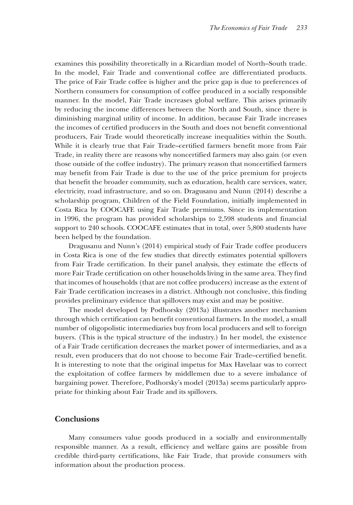examines this possibility theoretically in a Ricardian model of North–South trade. In the model, Fair Trade and conventional coffee are differentiated products. The price of Fair Trade coffee is higher and the price gap is due to preferences of Northern consumers for consumption of coffee produced in a socially responsible manner. In the model, Fair Trade increases global welfare. This arises primarily by reducing the income differences between the North and South, since there is diminishing marginal utility of income. In addition, because Fair Trade increases the incomes of certified producers in the South and does not benefit conventional producers, Fair Trade would theoretically increase inequalities within the South. While it is clearly true that Fair Trade–certified farmers benefit more from Fair Trade, in reality there are reasons why noncertified farmers may also gain (or even those outside of the coffee industry). The primary reason that noncertified farmers may benefit from Fair Trade is due to the use of the price premium for projects that benefit the broader community, such as education, health care services, water, electricity, road infrastructure, and so on. Dragusanu and Nunn (2014) describe a scholarship program, Children of the Field Foundation, initially implemented in Costa Rica by COOCAFE using Fair Trade premiums. Since its implementation in 1996, the program has provided scholarships to 2,598 students and financial support to 240 schools. COOCAFE estimates that in total, over 5,800 students have been helped by the foundation.

Dragusanu and Nunn's (2014) empirical study of Fair Trade coffee producers in Costa Rica is one of the few studies that directly estimates potential spillovers from Fair Trade certification. In their panel analysis, they estimate the effects of more Fair Trade certification on other households living in the same area. They find that incomes of households (that are not coffee producers) increase as the extent of Fair Trade certification increases in a district. Although not conclusive, this finding provides preliminary evidence that spillovers may exist and may be positive.

The model developed by Podhorsky (2013a) illustrates another mechanism through which certification can benefit conventional farmers. In the model, a small number of oligopolistic intermediaries buy from local producers and sell to foreign buyers. (This is the typical structure of the industry.) In her model, the existence of a Fair Trade certification decreases the market power of intermediaries, and as a result, even producers that do not choose to become Fair Trade–certified benefit. It is interesting to note that the original impetus for Max Havelaar was to correct the exploitation of coffee farmers by middlemen due to a severe imbalance of bargaining power. Therefore, Podhorsky's model (2013a) seems particularly appropriate for thinking about Fair Trade and its spillovers.

## **Conclusions**

Many consumers value goods produced in a socially and environmentally responsible manner. As a result, efficiency and welfare gains are possible from credible third-party certifications, like Fair Trade, that provide consumers with information about the production process.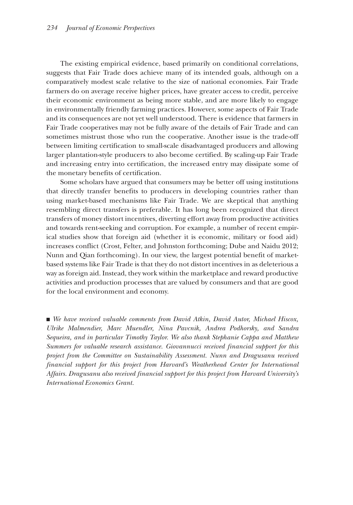The existing empirical evidence, based primarily on conditional correlations, suggests that Fair Trade does achieve many of its intended goals, although on a comparatively modest scale relative to the size of national economies. Fair Trade farmers do on average receive higher prices, have greater access to credit, perceive their economic environment as being more stable, and are more likely to engage in environmentally friendly farming practices. However, some aspects of Fair Trade and its consequences are not yet well understood. There is evidence that farmers in Fair Trade cooperatives may not be fully aware of the details of Fair Trade and can sometimes mistrust those who run the cooperative. Another issue is the trade-off between limiting certification to small-scale disadvantaged producers and allowing larger plantation-style producers to also become certified. By scaling-up Fair Trade and increasing entry into certification, the increased entry may dissipate some of the monetary benefits of certification.

Some scholars have argued that consumers may be better off using institutions that directly transfer benefits to producers in developing countries rather than using market-based mechanisms like Fair Trade. We are skeptical that anything resembling direct transfers is preferable. It has long been recognized that direct transfers of money distort incentives, diverting effort away from productive activities and towards rent-seeking and corruption. For example, a number of recent empirical studies show that foreign aid (whether it is economic, military or food aid) increases conflict (Crost, Felter, and Johnston forthcoming; Dube and Naidu 2012; Nunn and Qian forthcoming). In our view, the largest potential benefit of marketbased systems like Fair Trade is that they do not distort incentives in as deleterious a way as foreign aid. Instead, they work within the marketplace and reward productive activities and production processes that are valued by consumers and that are good for the local environment and economy.

■ We have received valuable comments from David Atkin, David Autor, Michael Hiscox, *Ulrike Malmendier, Marc Muendler, Nina Pavcnik, Andrea Podhorsky, and Sandra Sequeira, and in particular Timothy Taylor. We also thank Stephanie Cappa and Matthew Summers for valuable research assistance. Giovannucci received financial support for this project from the Committee on Sustainability Assessment. Nunn and Dragusanu received financial support for this project from Harvard's Weatherhead Center for International Affairs. Dragusanu also received financial support for this project from Harvard University's International Economics Grant.*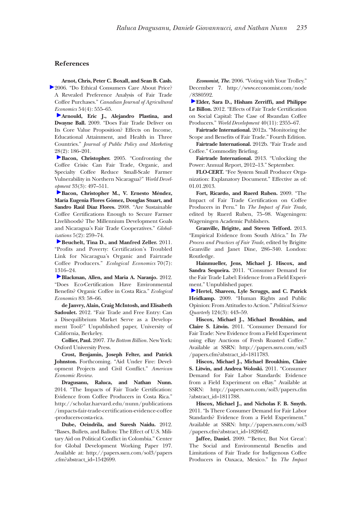#### **References**

**Arnot, Chris, Peter C. Boxall, and Sean B. Cash.** 2006. "Do Ethical Consumers Care About Price? A Revealed Preference Analysis of Fair Trade Coffee Purchases." *Canadian Journal of Agricultural Economics* 54(4): 555–65.

**[A](http://pubs.aeaweb.org/action/showLinks?crossref=10.1509%2Fjppm.28.2.186&citationId=p_3)rnould, Eric J., Alejandro Plastina, and Dwayne Ball.** 2009. "Does Fair Trade Deliver on Its Core Value Proposition? Effects on Income, Educational Attainment, and Health in Three Countries." *Journal of Public Policy and Marketing* 28(2): 186–201.

**[B](http://pubs.aeaweb.org/action/showLinks?crossref=10.1016%2Fj.worlddev.2004.10.002&citationId=p_4)acon, Christopher.** 2005. "Confronting the Coffee Crisis: Can Fair Trade, Organic, and Specialty Coffee Reduce Small-Scale Farmer Vulnerability in Northern Nicaragua?" *World Development* 33(3): 497–511.

**[B](http://pubs.aeaweb.org/action/showLinks?crossref=10.1080%2F14747730802057688&citationId=p_5)acon, Christopher M., V. Ernesto Méndez, María Eugenia Flores Gómez, Douglas Stuart, and Sandro Raúl Díaz Flores.** 2008. "Are Sustainable Coffee Certifications Enough to Secure Farmer Livelihoods? The Millennium Development Goals and Nicaragua's Fair Trade Cooperatives." *Globalizations* 5(2): 259–74.

**[B](http://pubs.aeaweb.org/action/showLinks?crossref=10.1016%2Fj.ecolecon.2011.01.005&citationId=p_6)euchelt, Tina D., and Manfred Zeller.** 2011. "Profits and Poverty: Certification's Troubled Link for Nicaragua's Organic and Fairtrade Coffee Producers." *Ecological Economics* 70(7): 1316–24.

**[B](http://pubs.aeaweb.org/action/showLinks?crossref=10.1016%2Fj.ecolecon.2012.08.001&citationId=p_7)lackman, Allen, and Maria A. Naranjo.** 2012. "Does Eco-Certification Have Environmental Benefits? Organic Coffee in Costa Rica." *Ecological Economics* 83: 58–66.

**de Janvry, Alain, Craig McIntosh, and Elisabeth Sadoulet.** 2012. "Fair Trade and Free Entry: Can a Disequilibrium Market Serve as a Development Tool?" Unpublished paper, University of California, Berkeley.

**Collier, Paul.** 2007. *The Bottom Billion*. New York: Oxford University Press.

**Crost, Benjamin, Joseph Felter, and Patrick Johnston.** Forthcoming. "Aid Under Fire: Development Projects and Civil Conflict." *American Economic Review*.

**Dragusanu, Raluca, and Nathan Nunn.** 2014. "The Impacts of Fair Trade Certification: Evidence from Coffee Producers in Costa Rica." http://scholar.harvard.edu/nunn/publications [/impacts-fair-trade-certification-evidence-coffee](http://scholar.harvard.edu/nunn/publications/impacts-fair-trade-certification-evidence-coffee-producers-costa-rica) -producers-costa-rica.

**Dube, Oeindrila, and Suresh Naidu.** 2012. "Bases, Bullets, and Ballots: The Effect of U.S. Military Aid on Political Conflict in Colombia." Center for Global Development Working Paper 197. Available at: [http://papers.ssrn.com/sol3/papers](http://papers.ssrn.com/sol3/papers.cfm?abstract_id=1542699) [.cfm?abstract\\_id=1542699](http://papers.ssrn.com/sol3/papers.cfm?abstract_id=1542699).

*Economist, The.* 2006. "Voting with Your Trolley." December 7. [http://www.economist.com/node](http://www.economist.com/node/8380592) [/8380592](http://www.economist.com/node/8380592).

**[E](http://pubs.aeaweb.org/action/showLinks?crossref=10.1016%2Fj.worlddev.2012.06.010&citationId=p_15)lder, Sara D., Hisham Zerriffi, and Philippe Le Billon.** 2012. "Effects of Fair Trade Certification on Social Capital: The Case of Rwandan Coffee Producers." *World Development* 40(11): 2355–67.

**Fairtrade International.** 2012a. "Monitoring the Scope and Benefits of Fair Trade." Fourth Edition.

**Fairtrade International.** 2012b. "Fair Trade and Coffee." Commodity Briefing.

**Fairtrade International.** 2013. "Unlocking the Power: Annual Report, 2012–13." September.

**FLO-CERT.** "Fee System Small Producer Organization: Explanatory Document." Effective as of: 01.01.2013.

**Fort, Ricardo, and Ruerd Ruben.** 2009. "The Impact of Fair Trade Certification on Coffee Producers in Peru." In *The Impact of Fair Trade*, edited by Ruerd Ruben, 75–98. Wageningen: Wageningen Academic Publishers.

**Granville, Brigitte, and Steven Telford.** 2013. "Empirical Evidence from South Africa." In *The Process and Practices of Fair Trade*, edited by Brigitte Granville and Janet Dine, 286–340. London: Routledge.

**Hainmueller, Jens, Michael J. Hiscox, and Sandra Sequeira.** 2011. "Consumer Demand for the Fair Trade Label: Evidence from a Field Experiment." Unpublished paper.

**[H](http://pubs.aeaweb.org/action/showLinks?crossref=10.1002%2Fj.1538-165X.2009.tb00655.x&citationId=p_23)ertel, Shareen, Lyle Scruggs, and C. Patrick Heidkamp.** 2009. "Human Rights and Public Opinion: From Attitudes to Action." *Political Science Quarterly* 124(3): 443–59.

**Hiscox, Michael J., Michael Broukhim, and Claire S. Litwin.** 2011. "Consumer Demand for Fair Trade: New Evidence from a Field Experiment using eBay Auctions of Fresh Roasted Coffee." Available at SSRN: [http://papers.ssrn.com/sol3](http://papers.ssrn.com/sol3/papers.cfm?abstract_id=1811783) [/papers.cfm?abstract\\_id=1811783](http://papers.ssrn.com/sol3/papers.cfm?abstract_id=1811783).

**Hiscox, Michael J., Michael Broukhim, Claire S. Litwin, and Andrea Woloski.** 2011. "Consumer Demand for Fair Labor Standards: Evidence from a Field Experiment on eBay." Available at SSRN: [http://papers.ssrn.com/sol3/papers.cfm](http://papers.ssrn.com/sol3/papers.cfm?abstract_id=1811788) [?abstract\\_id=1811788](http://papers.ssrn.com/sol3/papers.cfm?abstract_id=1811788).

**Hiscox, Michael J., and Nicholas F. B. Smyth.** 2011. "Is There Consumer Demand for Fair Labor Standards? Evidence from a Field Experiment." Available at SSRN: [http://papers.ssrn.com/sol3](http://papers.ssrn.com/sol3/papers.cfm?abstract_id=1820642) [/papers.cfm?abstract\\_id=1820642](http://papers.ssrn.com/sol3/papers.cfm?abstract_id=1820642).

**Jaffee, Daniel.** 2009. "'Better, But Not Great': The Social and Environmental Benefits and Limitations of Fair Trade for Indigenous Coffee Producers in Oaxaca, Mexico." In *The Impact*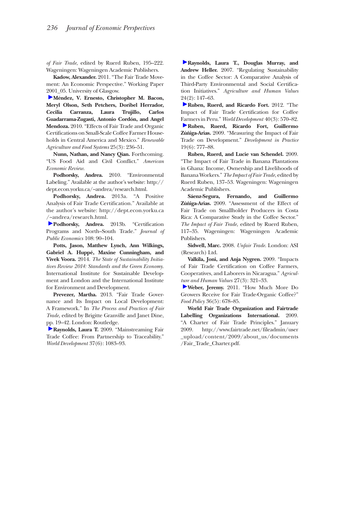*of Fair Trade*, edited by Ruerd Ruben, 195–222. Wageningen: Wageningen Academic Publishers.

**Kadow, Alexander.** 2011. "The Fair Trade Movement: An Economic Perspective." Working Paper [200](http://pubs.aeaweb.org/action/showLinks?crossref=10.1017%2FS1742170510000268&citationId=p_30)1\_05. University of Glasgow.

**Méndez, V. Ernesto, Christopher M. Bacon, Meryl Olson, Seth Petchers, Doribel Herrador, Cecilia Carranza, Laura Trujillo, Carlos Guadarrama-Zugasti, Antonio Cordón, and Angel Mendoza.** 2010. "Effects of Fair Trade and Organic Certifications on Small-Scale Coffee Farmer Households in Central America and Mexico." *Renewable Agriculture and Food Systems* 25(3): 236–51.

**Nunn, Nathan, and Nancy Qian.** Forthcoming. "US Food Aid and Civil Conflict." *American Economic Review*.

**Podhorsky, Andrea.** 2010. "Environmental Labeling." Available at the author's website: http:// dept.econ.yorku.ca/~andrea/research.html.

**Podhorsky, Andrea.** 2013a. "A Positive Analysis of Fair Trade Certification." Available at the author's website: [http://dept.econ.yorku.ca](http://dept.econ.yorku.ca/~andrea/research.html) [/~andrea/research.html](http://dept.econ.yorku.ca/~andrea/research.html).

**Podhorsky, Andrea.** 2013b. "Certification Programs and North–South Trade." *Journal of Public Economics* 108: 90–104.

**Potts, Jason, Matthew Lynch, Ann Wilkings, Gabriel A. Huppé, Maxine Cunningham, and Vivek Voora.** 2014. *The State of Sustainability Initiatives Review 2014: Standards and the Green Economy.* International Institute for Sustainable Development and London and the International Institute for Environment and Development.

**Prevezer, Martha.** 2013. "Fair Trade Governance and Its Impact on Local Development: A Framework." In *The Process and Practices of Fair Trade*, edited by Brigitte Granville and Janet Dine, [pp.](http://pubs.aeaweb.org/action/showLinks?crossref=10.1016%2Fj.worlddev.2008.10.001&citationId=p_37) 19–42. London: Routledge.

**Raynolds, Laura T.** 2009. "Mainstreaming Fair Trade Coffee: From Partnership to Traceability." *World Development* 37(6): 1083–93.

**[R](http://pubs.aeaweb.org/action/showLinks?crossref=10.1007%2Fs10460-006-9047-8&citationId=p_38)aynolds, Laura T., Douglas Murray, and Andrew Heller.** 2007. "Regulating Sustainability in the Coffee Sector: A Comparative Analysis of Third-Party Environmental and Social Certification Initiatives." *Agriculture and Human Values* [24\(](http://pubs.aeaweb.org/action/showLinks?crossref=10.1016%2Fj.worlddev.2011.07.030&citationId=p_39)2): 147–63.

**Ruben, Ruerd, and Ricardo Fort.** 2012. "The Impact of Fair Trade Certification for Coffee [Far](http://pubs.aeaweb.org/action/showLinks?crossref=10.1080%2F09614520903027049&citationId=p_40)mers in Peru." *World Development* 40(3): 570–82. **Ruben, Ruerd, Ricardo Fort, Guillermo Zúñiga-Arias.** 2009. "Measuring the Impact of Fair Trade on Development." *Development in Practice* 19(6): 777–88.

**Ruben, Ruerd, and Lucie van Schendel.** 2009. "The Impact of Fair Trade in Banana Plantations in Ghana: Income, Ownership and Livelihoods of Banana Workers." *The Impact of Fair Trade*, edited by Ruerd Ruben, 137–53. Wageningen: Wageningen Academic Publishers.

**Sáenz-Segura, Fernando, and Guillermo Zúñiga-Arias.** 2009. "Assessment of the Effect of Fair Trade on Smallholder Producers in Costa Rica: A Comparative Study in the Coffee Sector." *The Impact of Fair Trade*, edited by Ruerd Ruben, 117–35. Wageningen: Wageningen Academic Publishers.

**Sidwell, Marc.** 2008. *Unfair Trade*. London: ASI (Research) Ltd.

**Valkila, Joni, and Anja Nygren.** 2009. "Impacts of Fair Trade Certification on Coffee Farmers, Cooperatives, and Laborers in Nicaragua." *Agricul[ture](http://pubs.aeaweb.org/action/showLinks?crossref=10.1016%2Fj.foodpol.2011.05.007&citationId=p_45) and Human Values* 27(3): 321–33.

**Weber, Jeremy.** 2011. "How Much More Do Growers Receive for Fair Trade-Organic Coffee?" *Food Policy* 36(5): 678–85.

**World Fair Trade Organization and Fairtrade Labelling Organizations International.** 2009. "A Charter of Fair Trade Principles." January 2009. [http://www.fairtrade.net/fileadmin/user](http://www.fairtrade.net/fileadmin/user_upload/content/2009/about_us/documents/Fair_Trade_Charter.pdf) [\\_upload/content/2009/about\\_us/documents](http://www.fairtrade.net/fileadmin/user_upload/content/2009/about_us/documents/Fair_Trade_Charter.pdf) /Fair\_Trade\_Charter.pdf.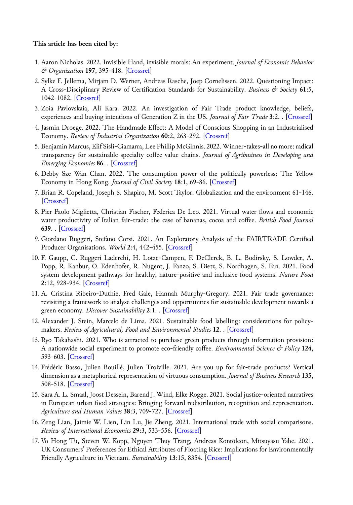#### **This article has been cited by:**

- 1. Aaron Nicholas. 2022. Invisible Hand, invisible morals: An experiment. *Journal of Economic Behavior & Organization* **197**, 395-418. [[Crossref\]](https://doi.org/10.1016/j.jebo.2022.03.004)
- 2. Sylke F. Jellema, Mirjam D. Werner, Andreas Rasche, Joep Cornelissen. 2022. Questioning Impact: A Cross-Disciplinary Review of Certification Standards for Sustainability. *Business & Society* **61**:5, 1042-1082. [[Crossref\]](https://doi.org/10.1177/00076503211056332)
- 3. Zoia Pavlovskaia, Ali Kara. 2022. An investigation of Fair Trade product knowledge, beliefs, experiences and buying intentions of Generation Z in the US. *Journal of Fair Trade* **3**:2. . [[Crossref](https://doi.org/10.13169/jfairtrade.3.2.0034)]
- 4. Jasmin Droege. 2022. The Handmade Effect: A Model of Conscious Shopping in an Industrialised Economy. *Review of Industrial Organization* **60**:2, 263-292. [\[Crossref](https://doi.org/10.1007/s11151-021-09844-9)]
- 5. Benjamin Marcus, Elif Sisli-Ciamarra, Lee Phillip McGinnis. 2022. Winner-takes-all no more: radical transparency for sustainable specialty coffee value chains. *Journal of Agribusiness in Developing and Emerging Economies* **86**. . [\[Crossref](https://doi.org/10.1108/JADEE-07-2021-0186)]
- 6.Debby Sze Wan Chan. 2022. The consumption power of the politically powerless: The Yellow Economy in Hong Kong. *Journal of Civil Society* **18**:1, 69-86. [\[Crossref](https://doi.org/10.1080/17448689.2022.2061548)]
- 7. Brian R. Copeland, Joseph S. Shapiro, M. Scott Taylor. Globalization and the environment 61-146. [\[Crossref](https://doi.org/10.1016/bs.hesint.2022.02.002)]
- 8. Pier Paolo Miglietta, Christian Fischer, Federica De Leo. 2021. Virtual water flows and economic water productivity of Italian fair-trade: the case of bananas, cocoa and coffee. *British Food Journal* **639**. . [[Crossref\]](https://doi.org/10.1108/BFJ-03-2020-0265)
- 9. Giordano Ruggeri, Stefano Corsi. 2021. An Exploratory Analysis of the FAIRTRADE Certified Producer Organisations. *World* **2**:4, 442-455. [[Crossref\]](https://doi.org/10.3390/world2040028)
- 10. F. Gaupp, C. Ruggeri Laderchi, H. Lotze-Campen, F. DeClerck, B. L. Bodirsky, S. Lowder, A. Popp, R. Kanbur, O. Edenhofer, R. Nugent, J. Fanzo, S. Dietz, S. Nordhagen, S. Fan. 2021. Food system development pathways for healthy, nature-positive and inclusive food systems. *Nature Food* **2**:12, 928-934. [[Crossref\]](https://doi.org/10.1038/s43016-021-00421-7)
- 11. A. Cristina Ribeiro-Duthie, Fred Gale, Hannah Murphy-Gregory. 2021. Fair trade governance: revisiting a framework to analyse challenges and opportunities for sustainable development towards a green economy. *Discover Sustainability* **2**:1. . [\[Crossref](https://doi.org/10.1007/s43621-021-00063-6)]
- 12. Alexander J. Stein, Marcelo de Lima. 2021. Sustainable food labelling: considerations for policymakers. *Review of Agricultural, Food and Environmental Studies* **12**. . [\[Crossref](https://doi.org/10.1007/s41130-021-00156-w)]
- 13. Ryo Takahashi. 2021. Who is attracted to purchase green products through information provision: A nationwide social experiment to promote eco-friendly coffee. *Environmental Science & Policy* **124**, 593-603. [\[Crossref\]](https://doi.org/10.1016/j.envsci.2021.08.006)
- 14. Frédéric Basso, Julien Bouillé, Julien Troiville. 2021. Are you up for fair-trade products? Vertical dimension as a metaphorical representation of virtuous consumption. *Journal of Business Research* **135**, 508-518. [\[Crossref\]](https://doi.org/10.1016/j.jbusres.2021.06.050)
- 15. Sara A. L. Smaal, Joost Dessein, Barend J. Wind, Elke Rogge. 2021. Social justice-oriented narratives in European urban food strategies: Bringing forward redistribution, recognition and representation. *Agriculture and Human Values* **38**:3, 709-727. [\[Crossref](https://doi.org/10.1007/s10460-020-10179-6)]
- 16. Zeng Lian, Jaimie W. Lien, Lin Lu, Jie Zheng. 2021. International trade with social comparisons. *Review of International Economics* **29**:3, 533-556. [\[Crossref\]](https://doi.org/10.1111/roie.12519)
- 17. Vo Hong Tu, Steven W. Kopp, Nguyen Thuy Trang, Andreas Kontoleon, Mitsuyasu Yabe. 2021. UK Consumers' Preferences for Ethical Attributes of Floating Rice: Implications for Environmentally Friendly Agriculture in Vietnam. *Sustainability* **13**:15, 8354. [[Crossref\]](https://doi.org/10.3390/su13158354)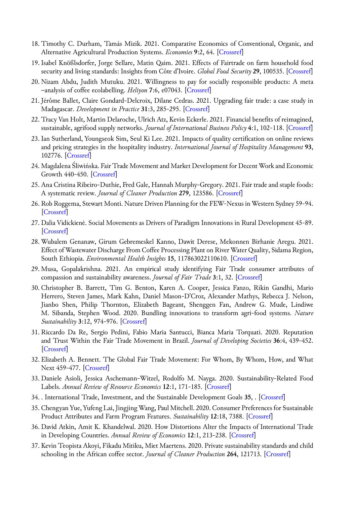- 18. Timothy C. Durham, Tamás Mizik. 2021. Comparative Economics of Conventional, Organic, and Alternative Agricultural Production Systems. *Economies* **9**:2, 64. [[Crossref\]](https://doi.org/10.3390/economies9020064)
- 19. Isabel Knößlsdorfer, Jorge Sellare, Matin Qaim. 2021. Effects of Fairtrade on farm household food security and living standards: Insights from Côte d'Ivoire. *Global Food Security* **29**, 100535. [[Crossref\]](https://doi.org/10.1016/j.gfs.2021.100535)
- 20. Nizam Abdu, Judith Mutuku. 2021. Willingness to pay for socially responsible products: A meta −analysis of coffee ecolabelling. *Heliyon* **7**:6, e07043. [[Crossref\]](https://doi.org/10.1016/j.heliyon.2021.e07043)
- 21. Jérôme Ballet, Claire Gondard-Delcroix, Dilane Cedras. 2021. Upgrading fair trade: a case study in Madagascar. *Development in Practice* **31**:3, 285-295. [\[Crossref](https://doi.org/10.1080/09614524.2020.1836130)]
- 22. Tracy Van Holt, Martin Delaroche, Ulrich Atz, Kevin Eckerle. 2021. Financial benefits of reimagined, sustainable, agrifood supply networks. *Journal of International Business Policy* **4**:1, 102-118. [[Crossref\]](https://doi.org/10.1057/s42214-020-00096-0)
- 23. Ian Sutherland, Youngseok Sim, Seul Ki Lee. 2021. Impacts of quality certification on online reviews and pricing strategies in the hospitality industry. *International Journal of Hospitality Management* **93**, 102776. [\[Crossref](https://doi.org/10.1016/j.ijhm.2020.102776)]
- 24. Magdalena Śliwińska. Fair Trade Movement and Market Development for Decent Work and Economic Growth 440-450. [\[Crossref](https://doi.org/10.1007/978-3-319-95867-5_71)]
- 25. Ana Cristina Ribeiro-Duthie, Fred Gale, Hannah Murphy-Gregory. 2021. Fair trade and staple foods: A systematic review. *Journal of Cleaner Production* **279**, 123586. [[Crossref\]](https://doi.org/10.1016/j.jclepro.2020.123586)
- 26. Rob Roggema, Stewart Monti. Nature Driven Planning for the FEW-Nexus in Western Sydney 59-94. [\[Crossref](https://doi.org/10.1007/978-3-030-61977-0_4)]
- 27.Dalia Vidickienė. Social Movements as Drivers of Paradigm Innovations in Rural Development 45-89. [\[Crossref](https://doi.org/10.1007/978-3-030-71983-8_3)]
- 28. Wubalem Genanaw, Girum Gebremeskel Kanno, Dawit Derese, Mekonnen Birhanie Aregu. 2021. Effect of Wastewater Discharge From Coffee Processing Plant on River Water Quality, Sidama Region, South Ethiopia. *Environmental Health Insights* **15**, 117863022110610. [\[Crossref](https://doi.org/10.1177/11786302211061047)]
- 29. Musa, Gopalakrishna. 2021. An empirical study identifying Fair Trade consumer attributes of compassion and sustainability awareness. *Journal of Fair Trade* **3**:1, 32. [\[Crossref](https://doi.org/10.13169/jfairtrade.3.1.0032)]
- 30. Christopher B. Barrett, Tim G. Benton, Karen A. Cooper, Jessica Fanzo, Rikin Gandhi, Mario Herrero, Steven James, Mark Kahn, Daniel Mason-D'Croz, Alexander Mathys, Rebecca J. Nelson, Jianbo Shen, Philip Thornton, Elizabeth Bageant, Shenggen Fan, Andrew G. Mude, Lindiwe M. Sibanda, Stephen Wood. 2020. Bundling innovations to transform agri-food systems. *Nature Sustainability* **3**:12, 974-976. [[Crossref\]](https://doi.org/10.1038/s41893-020-00661-8)
- 31. Riccardo Da Re, Sergio Pedini, Fabio Maria Santucci, Bianca Maria Torquati. 2020. Reputation and Trust Within the Fair Trade Movement in Brazil. *Journal of Developing Societies* **36**:4, 439-452. [\[Crossref](https://doi.org/10.1177/0169796X20970345)]
- 32. Elizabeth A. Bennett. The Global Fair Trade Movement: For Whom, By Whom, How, and What Next 459-477. [\[Crossref](https://doi.org/10.1017/9781108554558.029)]
- 33.Daniele Asioli, Jessica Aschemann-Witzel, Rodolfo M. Nayga. 2020. Sustainability-Related Food Labels. *Annual Review of Resource Economics* **12**:1, 171-185. [\[Crossref](https://doi.org/10.1146/annurev-resource-100518-094103)]
- 34. . International Trade, Investment, and the Sustainable Development Goals **35**, . [\[Crossref](https://doi.org/10.1017/9781108881364)]
- 35. Chengyan Yue, Yufeng Lai, Jingjing Wang, Paul Mitchell. 2020. Consumer Preferences for Sustainable Product Attributes and Farm Program Features. *Sustainability* **12**:18, 7388. [[Crossref\]](https://doi.org/10.3390/su12187388)
- 36.David Atkin, Amit K. Khandelwal. 2020. How Distortions Alter the Impacts of International Trade in Developing Countries. *Annual Review of Economics* **12**:1, 213-238. [\[Crossref](https://doi.org/10.1146/annurev-economics-081919-041554)]
- 37. Kevin Teopista Akoyi, Fikadu Mitiku, Miet Maertens. 2020. Private sustainability standards and child schooling in the African coffee sector. *Journal of Cleaner Production* **264**, 121713. [[Crossref\]](https://doi.org/10.1016/j.jclepro.2020.121713)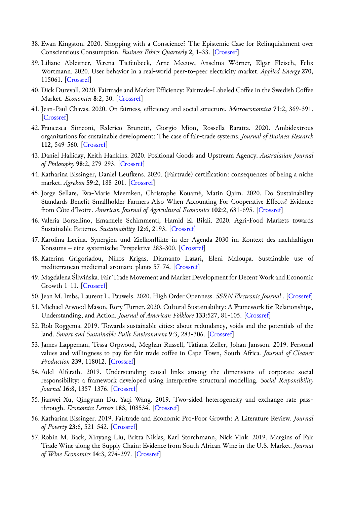- 38. Ewan Kingston. 2020. Shopping with a Conscience? The Epistemic Case for Relinquishment over Conscientious Consumption. *Business Ethics Quarterly* **2**, 1-33. [\[Crossref](https://doi.org/10.1017/beq.2020.13)]
- 39. Liliane Ableitner, Verena Tiefenbeck, Arne Meeuw, Anselma Wörner, Elgar Fleisch, Felix Wortmann. 2020. User behavior in a real-world peer-to-peer electricity market. *Applied Energy* **270**, 115061. [\[Crossref](https://doi.org/10.1016/j.apenergy.2020.115061)]
- 40.Dick Durevall. 2020. Fairtrade and Market Efficiency: Fairtrade-Labeled Coffee in the Swedish Coffee Market. *Economies* **8**:2, 30. [[Crossref](https://doi.org/10.3390/economies8020030)]
- 41. Jean‐Paul Chavas. 2020. On fairness, efficiency and social structure. *Metroeconomica* **71**:2, 369-391. [\[Crossref](https://doi.org/10.1111/meca.12280)]
- 42. Francesca Simeoni, Federico Brunetti, Giorgio Mion, Rossella Baratta. 2020. Ambidextrous organizations for sustainable development: The case of fair-trade systems. *Journal of Business Research* **112**, 549-560. [[Crossref\]](https://doi.org/10.1016/j.jbusres.2019.11.020)
- 43.Daniel Halliday, Keith Hankins. 2020. Positional Goods and Upstream Agency. *Australasian Journal of Philosophy* **98**:2, 279-293. [[Crossref\]](https://doi.org/10.1080/00048402.2019.1620816)
- 44. Katharina Bissinger, Daniel Leufkens. 2020. (Fairtrade) certification: consequences of being a niche market. *Agrekon* **59**:2, 188-201. [\[Crossref](https://doi.org/10.1080/03031853.2019.1699840)]
- 45. Jorge Sellare, Eva‐Marie Meemken, Christophe Kouamé, Matin Qaim. 2020. Do Sustainability Standards Benefit Smallholder Farmers Also When Accounting For Cooperative Effects? Evidence from Côte d'Ivoire. *American Journal of Agricultural Economics* **102**:2, 681-695. [\[Crossref](https://doi.org/10.1002/ajae.12015)]
- 46. Valeria Borsellino, Emanuele Schimmenti, Hamid El Bilali. 2020. Agri-Food Markets towards Sustainable Patterns. *Sustainability* **12**:6, 2193. [[Crossref\]](https://doi.org/10.3390/su12062193)
- 47. Karolina Lecina. Synergien und Zielkonflikte in der Agenda 2030 im Kontext des nachhaltigen Konsums – eine systemische Perspektive 283-300. [\[Crossref](https://doi.org/10.1007/978-3-658-25706-4_14)]
- 48. Katerina Grigoriadou, Nikos Krigas, Diamanto Lazari, Eleni Maloupa. Sustainable use of mediterranean medicinal-aromatic plants 57-74. [\[Crossref](https://doi.org/10.1016/B978-0-12-814700-9.00004-2)]
- 49. Magdalena Śliwińska. Fair Trade Movement and Market Development for Decent Work and Economic Growth 1-11. [\[Crossref](https://doi.org/10.1007/978-3-319-71058-7_71-1)]
- 50. Jean M. Imbs, Laurent L. Pauwels. 2020. High Order Openness. *SSRN Electronic Journal* . [[Crossref\]](https://doi.org/10.2139/ssrn.3595049)
- 51. Michael Atwood Mason, Rory Turner. 2020. Cultural Sustainability: A Framework for Relationships, Understanding, and Action. *Journal of American Folklore* **133**:527, 81-105. [[Crossref\]](https://doi.org/10.5406/jamerfolk.133.527.0081)
- 52. Rob Roggema. 2019. Towards sustainable cities: about redundancy, voids and the potentials of the land. *Smart and Sustainable Built Environment* **9**:3, 283-306. [\[Crossref](https://doi.org/10.1108/SASBE-07-2019-0092)]
- 53. James Lappeman, Tessa Orpwood, Meghan Russell, Tatiana Zeller, Johan Jansson. 2019. Personal values and willingness to pay for fair trade coffee in Cape Town, South Africa. *Journal of Cleaner Production* **239**, 118012. [\[Crossref](https://doi.org/10.1016/j.jclepro.2019.118012)]
- 54. Adel Alferaih. 2019. Understanding causal links among the dimensions of corporate social responsibility: a framework developed using interpretive structural modelling. *Social Responsibility Journal* **16**:8, 1357-1376. [[Crossref\]](https://doi.org/10.1108/SRJ-08-2018-0197)
- 55. Jianwei Xu, Qingyuan Du, Yaqi Wang. 2019. Two-sided heterogeneity and exchange rate passthrough. *Economics Letters* **183**, 108534. [[Crossref\]](https://doi.org/10.1016/j.econlet.2019.108534)
- 56. Katharina Bissinger. 2019. Fairtrade and Economic Pro-Poor Growth: A Literature Review. *Journal of Poverty* **23**:6, 521-542. [\[Crossref](https://doi.org/10.1080/10875549.2019.1616036)]
- 57. Robin M. Back, Xinyang Liu, Britta Niklas, Karl Storchmann, Nick Vink. 2019. Margins of Fair Trade Wine along the Supply Chain: Evidence from South African Wine in the U.S. Market. *Journal of Wine Economics* **14**:3, 274-297. [[Crossref\]](https://doi.org/10.1017/jwe.2019.32)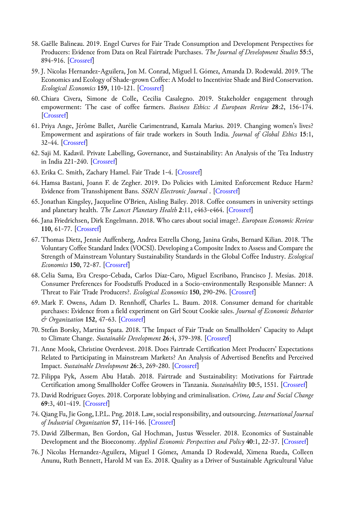- 58. Gaëlle Balineau. 2019. Engel Curves for Fair Trade Consumption and Development Perspectives for Producers: Evidence from Data on Real Fairtrade Purchases. *The Journal of Development Studies* **55**:5, 894-916. [\[Crossref\]](https://doi.org/10.1080/00220388.2018.1499894)
- 59. J. Nicolas Hernandez-Aguilera, Jon M. Conrad, Miguel I. Gómez, Amanda D. Rodewald. 2019. The Economics and Ecology of Shade-grown Coffee: A Model to Incentivize Shade and Bird Conservation. *Ecological Economics* **159**, 110-121. [[Crossref\]](https://doi.org/10.1016/j.ecolecon.2019.01.015)
- 60. Chiara Civera, Simone de Colle, Cecilia Casalegno. 2019. Stakeholder engagement through empowerment: The case of coffee farmers. *Business Ethics: A European Review* **28**:2, 156-174. [\[Crossref](https://doi.org/10.1111/beer.12208)]
- 61. Priya Ange, Jérôme Ballet, Aurélie Carimentrand, Kamala Marius. 2019. Changing women's lives? Empowerment and aspirations of fair trade workers in South India. *Journal of Global Ethics* **15**:1, 32-44. [\[Crossref](https://doi.org/10.1080/17449626.2019.1582554)]
- 62. Saji M. Kadavil. Private Labelling, Governance, and Sustainability: An Analysis of the Tea Industry in India 221-240. [\[Crossref](https://doi.org/10.1007/978-3-030-13716-8_9)]
- 63. Erika C. Smith, Zachary Hamel. Fair Trade 1-4. [\[Crossref](https://doi.org/10.1007/978-3-319-74336-3_334-1)]
- 64. Hamsa Bastani, Joann F. de Zegher. 2019. Do Policies with Limited Enforcement Reduce Harm? Evidence from Transshipment Bans. *SSRN Electronic Journal* . [[Crossref\]](https://doi.org/10.2139/ssrn.3312963)
- 65. Jonathan Kingsley, Jacqueline O'Brien, Aisling Bailey. 2018. Coffee consumers in university settings and planetary health. *The Lancet Planetary Health* **2**:11, e463-e464. [\[Crossref](https://doi.org/10.1016/S2542-5196(18)30220-1)]
- 66. Jana Friedrichsen, Dirk Engelmann. 2018. Who cares about social image?. *European Economic Review* **110**, 61-77. [\[Crossref](https://doi.org/10.1016/j.euroecorev.2018.08.001)]
- 67. Thomas Dietz, Jennie Auffenberg, Andrea Estrella Chong, Janina Grabs, Bernard Kilian. 2018. The Voluntary Coffee Standard Index (VOCSI). Developing a Composite Index to Assess and Compare the Strength of Mainstream Voluntary Sustainability Standards in the Global Coffee Industry. *Ecological Economics* **150**, 72-87. [\[Crossref](https://doi.org/10.1016/j.ecolecon.2018.03.026)]
- 68. Celia Sama, Eva Crespo-Cebada, Carlos Díaz-Caro, Miguel Escribano, Francisco J. Mesías. 2018. Consumer Preferences for Foodstuffs Produced in a Socio-environmentally Responsible Manner: A Threat to Fair Trade Producers?. *Ecological Economics* **150**, 290-296. [\[Crossref](https://doi.org/10.1016/j.ecolecon.2018.04.031)]
- 69. Mark F. Owens, Adam D. Rennhoff, Charles L. Baum. 2018. Consumer demand for charitable purchases: Evidence from a field experiment on Girl Scout Cookie sales. *Journal of Economic Behavior & Organization* **152**, 47-63. [\[Crossref](https://doi.org/10.1016/j.jebo.2018.06.002)]
- 70. Stefan Borsky, Martina Spata. 2018. The Impact of Fair Trade on Smallholders' Capacity to Adapt to Climate Change. *Sustainable Development* **26**:4, 379-398. [\[Crossref](https://doi.org/10.1002/sd.1712)]
- 71. Anne Mook, Christine Overdevest. 2018. Does Fairtrade Certification Meet Producers' Expectations Related to Participating in Mainstream Markets? An Analysis of Advertised Benefits and Perceived Impact. *Sustainable Development* **26**:3, 269-280. [[Crossref\]](https://doi.org/10.1002/sd.1700)
- 72. Filippa Pyk, Assem Abu Hatab. 2018. Fairtrade and Sustainability: Motivations for Fairtrade Certification among Smallholder Coffee Growers in Tanzania. *Sustainability* **10**:5, 1551. [[Crossref\]](https://doi.org/10.3390/su10051551)
- 73.David Rodríguez Goyes. 2018. Corporate lobbying and criminalisation. *Crime, Law and Social Change* **69**:3, 401-419. [[Crossref\]](https://doi.org/10.1007/s10611-017-9745-8)
- 74. Qiang Fu, Jie Gong, I.P.L. Png. 2018. Law, social responsibility, and outsourcing. *International Journal of Industrial Organization* **57**, 114-146. [\[Crossref](https://doi.org/10.1016/j.ijindorg.2018.01.002)]
- 75.David Zilberman, Ben Gordon, Gal Hochman, Justus Wesseler. 2018. Economics of Sustainable Development and the Bioeconomy. *Applied Economic Perspectives and Policy* **40**:1, 22-37. [\[Crossref](https://doi.org/10.1093/aepp/ppx051)]
- 76. J Nicolas Hernandez-Aguilera, Miguel I Gómez, Amanda D Rodewald, Ximena Rueda, Colleen Anunu, Ruth Bennett, Harold M van Es. 2018. Quality as a Driver of Sustainable Agricultural Value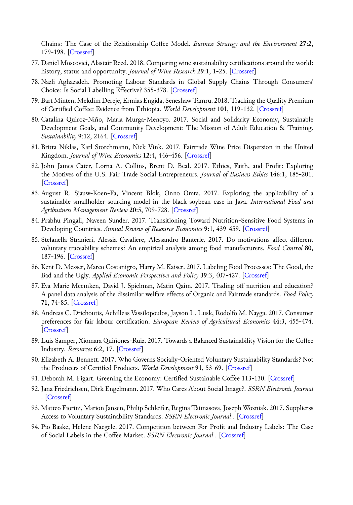Chains: The Case of the Relationship Coffee Model. *Business Strategy and the Environment* **27**:2, 179-198. [\[Crossref\]](https://doi.org/10.1002/bse.2009)

- 77.Daniel Moscovici, Alastair Reed. 2018. Comparing wine sustainability certifications around the world: history, status and opportunity. *Journal of Wine Research* **29**:1, 1-25. [[Crossref\]](https://doi.org/10.1080/09571264.2018.1433138)
- 78. Nazli Aghazadeh. Promoting Labour Standards in Global Supply Chains Through Consumers' Choice: Is Social Labelling Effective? 355-378. [\[Crossref](https://doi.org/10.1007/978-3-319-69447-4_17)]
- 79. Bart Minten, Mekdim Dereje, Ermias Engida, Seneshaw Tamru. 2018. Tracking the Quality Premium of Certified Coffee: Evidence from Ethiopia. *World Development* **101**, 119-132. [\[Crossref](https://doi.org/10.1016/j.worlddev.2017.08.010)]
- 80. Catalina Quiroz-Niño, María Murga-Menoyo. 2017. Social and Solidarity Economy, Sustainable Development Goals, and Community Development: The Mission of Adult Education & Training. *Sustainability* **9**:12, 2164. [\[Crossref](https://doi.org/10.3390/su9122164)]
- 81. Britta Niklas, Karl Storchmann, Nick Vink. 2017. Fairtrade Wine Price Dispersion in the United Kingdom. *Journal of Wine Economics* **12**:4, 446-456. [\[Crossref](https://doi.org/10.1017/jwe.2017.48)]
- 82. John James Cater, Lorna A. Collins, Brent D. Beal. 2017. Ethics, Faith, and Profit: Exploring the Motives of the U.S. Fair Trade Social Entrepreneurs. *Journal of Business Ethics* **146**:1, 185-201. [\[Crossref](https://doi.org/10.1007/s10551-015-2934-4)]
- 83. August R. Sjauw-Koen-Fa, Vincent Blok, Onno Omta. 2017. Exploring the applicability of a sustainable smallholder sourcing model in the black soybean case in Java. *International Food and Agribusiness Management Review* **20**:5, 709-728. [[Crossref\]](https://doi.org/10.22434/IFAMR2016.0171)
- 84. Prabhu Pingali, Naveen Sunder. 2017. Transitioning Toward Nutrition-Sensitive Food Systems in Developing Countries. *Annual Review of Resource Economics* **9**:1, 439-459. [[Crossref\]](https://doi.org/10.1146/annurev-resource-100516-053552)
- 85. Stefanella Stranieri, Alessia Cavaliere, Alessandro Banterle. 2017. Do motivations affect different voluntary traceability schemes? An empirical analysis among food manufacturers. *Food Control* **80**, 187-196. [\[Crossref\]](https://doi.org/10.1016/j.foodcont.2017.04.047)
- 86. Kent D. Messer, Marco Costanigro, Harry M. Kaiser. 2017. Labeling Food Processes: The Good, the Bad and the Ugly. *Applied Economic Perspectives and Policy* **39**:3, 407-427. [[Crossref\]](https://doi.org/10.1093/aepp/ppx028)
- 87. Eva-Marie Meemken, David J. Spielman, Matin Qaim. 2017. Trading off nutrition and education? A panel data analysis of the dissimilar welfare effects of Organic and Fairtrade standards. *Food Policy* **71**, 74-85. [[Crossref\]](https://doi.org/10.1016/j.foodpol.2017.07.010)
- 88. Andreas C. Drichoutis, Achilleas Vassilopoulos, Jayson L. Lusk, Rodolfo M. Nayga. 2017. Consumer preferences for fair labour certification. *European Review of Agricultural Economics* **44**:3, 455-474. [\[Crossref](https://doi.org/10.1093/erae/jbx002)]
- 89. Luis Samper, Xiomara Quiñones-Ruiz. 2017. Towards a Balanced Sustainability Vision for the Coffee Industry. *Resources* **6**:2, 17. [\[Crossref](https://doi.org/10.3390/resources6020017)]
- 90. Elizabeth A. Bennett. 2017. Who Governs Socially-Oriented Voluntary Sustainability Standards? Not the Producers of Certified Products. *World Development* **91**, 53-69. [[Crossref\]](https://doi.org/10.1016/j.worlddev.2016.10.010)
- 91.Deborah M. Figart. Greening the Economy: Certified Sustainable Coffee 113-130. [[Crossref\]](https://doi.org/10.1007/978-3-319-59779-9_9)
- 92. Jana Friedrichsen, Dirk Engelmann. 2017. Who Cares About Social Image?. *SSRN Electronic Journal* . [\[Crossref\]](https://doi.org/10.2139/ssrn.2906264)
- 93. Matteo Fiorini, Marion Jansen, Philip Schleifer, Regina Taimasova, Joseph Wozniak. 2017. Supplierss Access to Voluntary Sustainability Standards. *SSRN Electronic Journal* . [\[Crossref](https://doi.org/10.2139/ssrn.2940202)]
- 94. Pio Baake, Helene Naegele. 2017. Competition between For-Profit and Industry Labels: The Case of Social Labels in the Coffee Market. *SSRN Electronic Journal* . [[Crossref\]](https://doi.org/10.2139/ssrn.3046539)